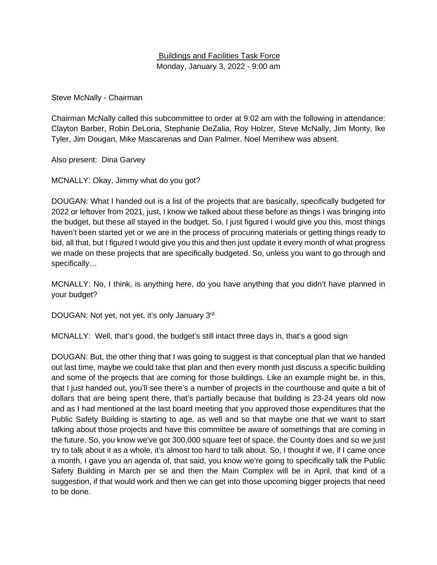## Buildings and Facilities Task Force Monday, January 3, 2022 - 9:00 am

Steve McNally - Chairman

Chairman McNally called this subcommittee to order at 9:02 am with the following in attendance: Clayton Barber, Robin DeLoria, Stephanie DeZalia, Roy Holzer, Steve McNally, Jim Monty, Ike Tyler, Jim Dougan, Mike Mascarenas and Dan Palmer. Noel Merrihew was absent.

Also present: Dina Garvey

MCNALLY: Okay, Jimmy what do you got?

DOUGAN: What I handed out is a list of the projects that are basically, specifically budgeted for 2022 or leftover from 2021, just, I know we talked about these before as things I was bringing into the budget, but these all stayed in the budget. So, I just figured I would give you this, most things haven't been started yet or we are in the process of procuring materials or getting things ready to bid, all that, but I figured I would give you this and then just update it every month of what progress we made on these projects that are specifically budgeted. So, unless you want to go through and specifically…

MCNALLY: No, I think, is anything here, do you have anything that you didn't have planned in your budget?

DOUGAN: Not yet, not yet, it's only January 3rd.

MCNALLY: Well, that's good, the budget's still intact three days in, that's a good sign

DOUGAN: But, the other thing that I was going to suggest is that conceptual plan that we handed out last time, maybe we could take that plan and then every month just discuss a specific building and some of the projects that are coming for those buildings. Like an example might be, in this, that I just handed out, you'll see there's a number of projects in the courthouse and quite a bit of dollars that are being spent there, that's partially because that building is 23-24 years old now and as I had mentioned at the last board meeting that you approved those expenditures that the Public Safety Building is starting to age, as well and so that maybe one that we want to start talking about those projects and have this committee be aware of somethings that are coming in the future. So, you know we've got 300,000 square feet of space, the County does and so we just try to talk about it as a whole, it's almost too hard to talk about. So, I thought if we, if I came once a month, I gave you an agenda of, that said, you know we're going to specifically talk the Public Safety Building in March per se and then the Main Complex will be in April, that kind of a suggestion, if that would work and then we can get into those upcoming bigger projects that need to be done.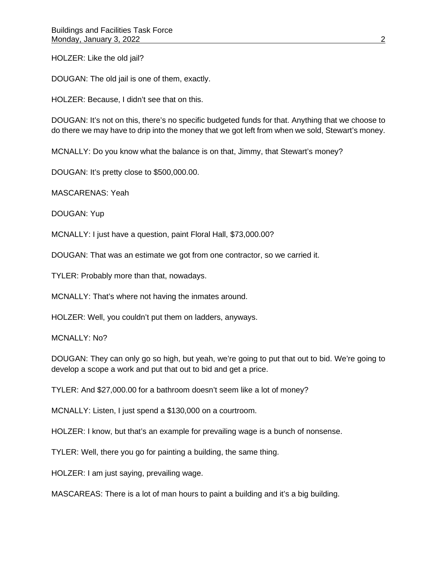HOLZER: Like the old jail?

DOUGAN: The old jail is one of them, exactly.

HOLZER: Because, I didn't see that on this.

DOUGAN: It's not on this, there's no specific budgeted funds for that. Anything that we choose to do there we may have to drip into the money that we got left from when we sold, Stewart's money.

MCNALLY: Do you know what the balance is on that, Jimmy, that Stewart's money?

DOUGAN: It's pretty close to \$500,000.00.

MASCARENAS: Yeah

DOUGAN: Yup

MCNALLY: I just have a question, paint Floral Hall, \$73,000.00?

DOUGAN: That was an estimate we got from one contractor, so we carried it.

TYLER: Probably more than that, nowadays.

MCNALLY: That's where not having the inmates around.

HOLZER: Well, you couldn't put them on ladders, anyways.

MCNALLY: No?

DOUGAN: They can only go so high, but yeah, we're going to put that out to bid. We're going to develop a scope a work and put that out to bid and get a price.

TYLER: And \$27,000.00 for a bathroom doesn't seem like a lot of money?

MCNALLY: Listen, I just spend a \$130,000 on a courtroom.

HOLZER: I know, but that's an example for prevailing wage is a bunch of nonsense.

TYLER: Well, there you go for painting a building, the same thing.

HOLZER: I am just saying, prevailing wage.

MASCAREAS: There is a lot of man hours to paint a building and it's a big building.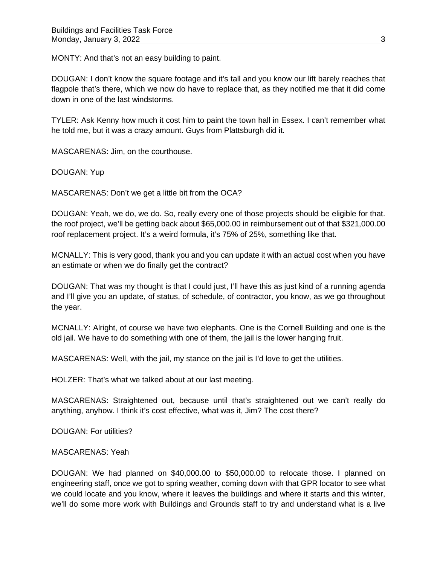MONTY: And that's not an easy building to paint.

DOUGAN: I don't know the square footage and it's tall and you know our lift barely reaches that flagpole that's there, which we now do have to replace that, as they notified me that it did come down in one of the last windstorms.

TYLER: Ask Kenny how much it cost him to paint the town hall in Essex. I can't remember what he told me, but it was a crazy amount. Guys from Plattsburgh did it.

MASCARENAS: Jim, on the courthouse.

DOUGAN: Yup

MASCARENAS: Don't we get a little bit from the OCA?

DOUGAN: Yeah, we do, we do. So, really every one of those projects should be eligible for that. the roof project, we'll be getting back about \$65,000.00 in reimbursement out of that \$321,000.00 roof replacement project. It's a weird formula, it's 75% of 25%, something like that.

MCNALLY: This is very good, thank you and you can update it with an actual cost when you have an estimate or when we do finally get the contract?

DOUGAN: That was my thought is that I could just, I'll have this as just kind of a running agenda and I'll give you an update, of status, of schedule, of contractor, you know, as we go throughout the year.

MCNALLY: Alright, of course we have two elephants. One is the Cornell Building and one is the old jail. We have to do something with one of them, the jail is the lower hanging fruit.

MASCARENAS: Well, with the jail, my stance on the jail is I'd love to get the utilities.

HOLZER: That's what we talked about at our last meeting.

MASCARENAS: Straightened out, because until that's straightened out we can't really do anything, anyhow. I think it's cost effective, what was it, Jim? The cost there?

DOUGAN: For utilities?

## MASCARENAS: Yeah

DOUGAN: We had planned on \$40,000.00 to \$50,000.00 to relocate those. I planned on engineering staff, once we got to spring weather, coming down with that GPR locator to see what we could locate and you know, where it leaves the buildings and where it starts and this winter, we'll do some more work with Buildings and Grounds staff to try and understand what is a live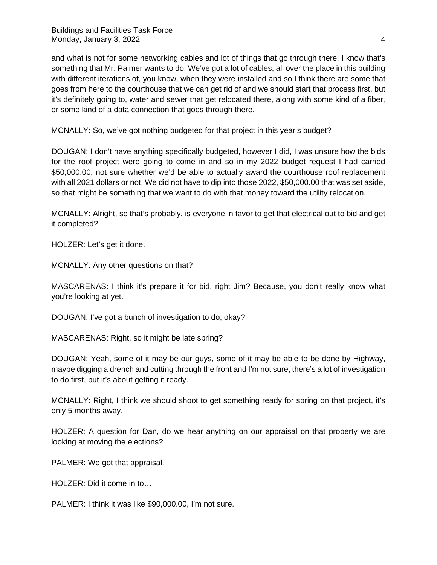and what is not for some networking cables and lot of things that go through there. I know that's something that Mr. Palmer wants to do. We've got a lot of cables, all over the place in this building with different iterations of, you know, when they were installed and so I think there are some that goes from here to the courthouse that we can get rid of and we should start that process first, but it's definitely going to, water and sewer that get relocated there, along with some kind of a fiber, or some kind of a data connection that goes through there.

MCNALLY: So, we've got nothing budgeted for that project in this year's budget?

DOUGAN: I don't have anything specifically budgeted, however I did, I was unsure how the bids for the roof project were going to come in and so in my 2022 budget request I had carried \$50,000.00, not sure whether we'd be able to actually award the courthouse roof replacement with all 2021 dollars or not. We did not have to dip into those 2022, \$50,000.00 that was set aside, so that might be something that we want to do with that money toward the utility relocation.

MCNALLY: Alright, so that's probably, is everyone in favor to get that electrical out to bid and get it completed?

HOLZER: Let's get it done.

MCNALLY: Any other questions on that?

MASCARENAS: I think it's prepare it for bid, right Jim? Because, you don't really know what you're looking at yet.

DOUGAN: I've got a bunch of investigation to do; okay?

MASCARENAS: Right, so it might be late spring?

DOUGAN: Yeah, some of it may be our guys, some of it may be able to be done by Highway, maybe digging a drench and cutting through the front and I'm not sure, there's a lot of investigation to do first, but it's about getting it ready.

MCNALLY: Right, I think we should shoot to get something ready for spring on that project, it's only 5 months away.

HOLZER: A question for Dan, do we hear anything on our appraisal on that property we are looking at moving the elections?

PALMER: We got that appraisal.

HOLZER: Did it come in to…

PALMER: I think it was like \$90,000.00, I'm not sure.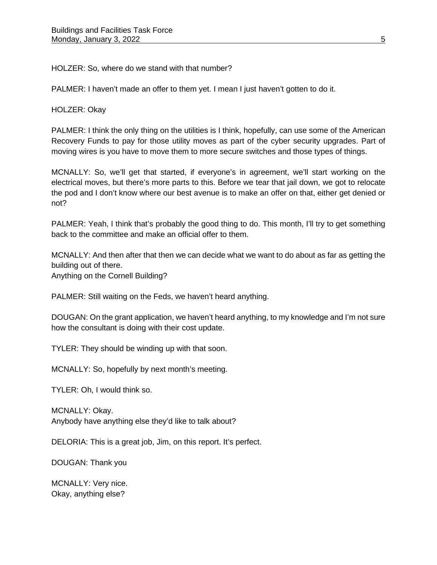HOLZER: So, where do we stand with that number?

PALMER: I haven't made an offer to them yet. I mean I just haven't gotten to do it.

HOLZER: Okay

PALMER: I think the only thing on the utilities is I think, hopefully, can use some of the American Recovery Funds to pay for those utility moves as part of the cyber security upgrades. Part of moving wires is you have to move them to more secure switches and those types of things.

MCNALLY: So, we'll get that started, if everyone's in agreement, we'll start working on the electrical moves, but there's more parts to this. Before we tear that jail down, we got to relocate the pod and I don't know where our best avenue is to make an offer on that, either get denied or not?

PALMER: Yeah, I think that's probably the good thing to do. This month, I'll try to get something back to the committee and make an official offer to them.

MCNALLY: And then after that then we can decide what we want to do about as far as getting the building out of there.

Anything on the Cornell Building?

PALMER: Still waiting on the Feds, we haven't heard anything.

DOUGAN: On the grant application, we haven't heard anything, to my knowledge and I'm not sure how the consultant is doing with their cost update.

TYLER: They should be winding up with that soon.

MCNALLY: So, hopefully by next month's meeting.

TYLER: Oh, I would think so.

MCNALLY: Okay. Anybody have anything else they'd like to talk about?

DELORIA: This is a great job, Jim, on this report. It's perfect.

DOUGAN: Thank you

MCNALLY: Very nice. Okay, anything else?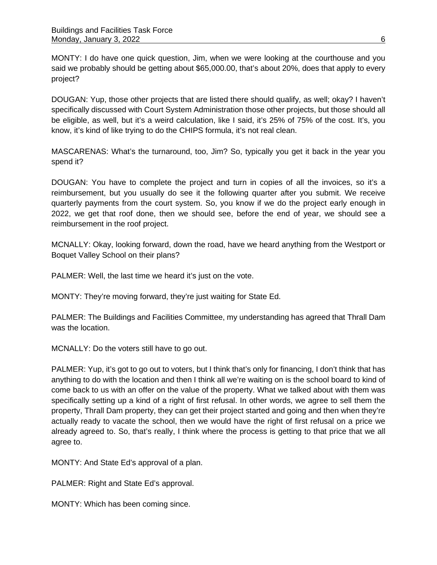MONTY: I do have one quick question, Jim, when we were looking at the courthouse and you said we probably should be getting about \$65,000.00, that's about 20%, does that apply to every project?

DOUGAN: Yup, those other projects that are listed there should qualify, as well; okay? I haven't specifically discussed with Court System Administration those other projects, but those should all be eligible, as well, but it's a weird calculation, like I said, it's 25% of 75% of the cost. It's, you know, it's kind of like trying to do the CHIPS formula, it's not real clean.

MASCARENAS: What's the turnaround, too, Jim? So, typically you get it back in the year you spend it?

DOUGAN: You have to complete the project and turn in copies of all the invoices, so it's a reimbursement, but you usually do see it the following quarter after you submit. We receive quarterly payments from the court system. So, you know if we do the project early enough in 2022, we get that roof done, then we should see, before the end of year, we should see a reimbursement in the roof project.

MCNALLY: Okay, looking forward, down the road, have we heard anything from the Westport or Boquet Valley School on their plans?

PALMER: Well, the last time we heard it's just on the vote.

MONTY: They're moving forward, they're just waiting for State Ed.

PALMER: The Buildings and Facilities Committee, my understanding has agreed that Thrall Dam was the location.

MCNALLY: Do the voters still have to go out.

PALMER: Yup, it's got to go out to voters, but I think that's only for financing, I don't think that has anything to do with the location and then I think all we're waiting on is the school board to kind of come back to us with an offer on the value of the property. What we talked about with them was specifically setting up a kind of a right of first refusal. In other words, we agree to sell them the property, Thrall Dam property, they can get their project started and going and then when they're actually ready to vacate the school, then we would have the right of first refusal on a price we already agreed to. So, that's really, I think where the process is getting to that price that we all agree to.

MONTY: And State Ed's approval of a plan.

PALMER: Right and State Ed's approval.

MONTY: Which has been coming since.